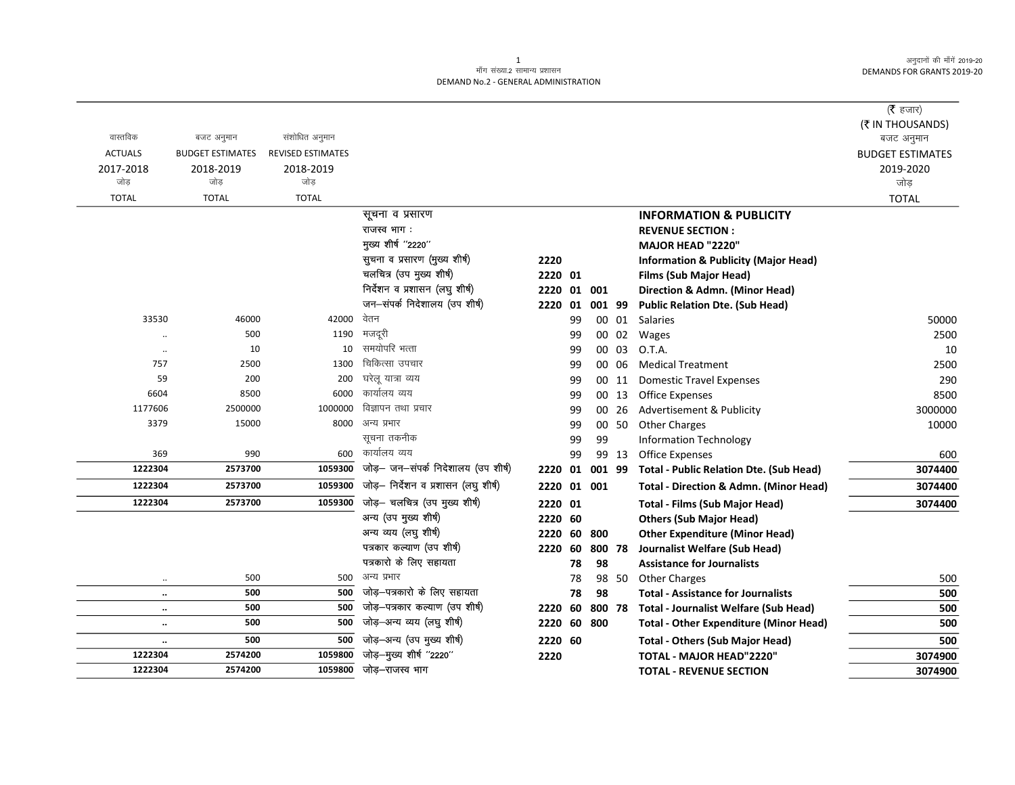अनुदानों की माँगें 2019-20 **DEMANDS FOR GRANTS 2019-20** 

## माँग संख्या.2 सामान्य प्रशासन DEMAND No.2 - GENERAL ADMINISTRATION

|                      |                         |                          |                                      |             |    |        |       |                                                   | ( $\bar{\tau}$ हजार)    |
|----------------------|-------------------------|--------------------------|--------------------------------------|-------------|----|--------|-------|---------------------------------------------------|-------------------------|
|                      |                         |                          |                                      |             |    |        |       |                                                   | (そ IN THOUSANDS)        |
| वास्तविक             | बजट अनुमान              | संशोधित अनुमान           |                                      |             |    |        |       |                                                   | बजट अनुमान              |
| <b>ACTUALS</b>       | <b>BUDGET ESTIMATES</b> | <b>REVISED ESTIMATES</b> |                                      |             |    |        |       |                                                   | <b>BUDGET ESTIMATES</b> |
| 2017-2018            | 2018-2019               | 2018-2019                |                                      |             |    |        |       |                                                   | 2019-2020               |
| जोड                  | जोड                     | जोड                      |                                      |             |    |        |       |                                                   | जोड                     |
| <b>TOTAL</b>         | <b>TOTAL</b>            | <b>TOTAL</b>             |                                      |             |    |        |       |                                                   | <b>TOTAL</b>            |
|                      |                         |                          | सूचना व प्रसारण                      |             |    |        |       | <b>INFORMATION &amp; PUBLICITY</b>                |                         |
|                      |                         |                          | राजस्व भाग:                          |             |    |        |       | <b>REVENUE SECTION:</b>                           |                         |
|                      |                         |                          | मुख्य शीर्ष "2220"                   |             |    |        |       | <b>MAJOR HEAD "2220"</b>                          |                         |
|                      |                         |                          | सुचना व प्रसारण (मुख्य शीर्ष)        | 2220        |    |        |       | <b>Information &amp; Publicity (Major Head)</b>   |                         |
|                      |                         |                          | चलचित्र (उप मुख्य शीर्ष)             | 2220 01     |    |        |       | <b>Films (Sub Major Head)</b>                     |                         |
|                      |                         |                          | निर्देशन व प्रशासन (लघु शीर्ष)       | 2220        | 01 | 001    |       | Direction & Admn. (Minor Head)                    |                         |
|                      |                         |                          | जन-संपर्क निदेशालय (उप शीर्ष)        | 2220        | 01 | 001 99 |       | <b>Public Relation Dte. (Sub Head)</b>            |                         |
| 33530                | 46000                   | 42000                    | वेतन                                 |             | 99 |        | 00 01 | Salaries                                          | 50000                   |
| $\ddot{\phantom{a}}$ | 500                     | 1190                     | मजदूरी                               |             | 99 |        | 00 02 | Wages                                             | 2500                    |
|                      | 10                      | 10                       | समयोपरि भत्ता                        |             | 99 |        | 00 03 | O.T.A.                                            | 10                      |
| 757                  | 2500                    | 1300                     | चिकित्सा उपचार                       |             | 99 |        | 00 06 | <b>Medical Treatment</b>                          | 2500                    |
| 59                   | 200                     | 200                      | घरेलू यात्रा व्यय                    |             | 99 |        | 00 11 | <b>Domestic Travel Expenses</b>                   | 290                     |
| 6604                 | 8500                    | 6000                     | कार्यालय व्यय                        |             | 99 |        | 00 13 | <b>Office Expenses</b>                            | 8500                    |
| 1177606              | 2500000                 | 1000000                  | विज्ञापन तथा प्रचार                  |             | 99 |        | 00 26 | Advertisement & Publicity                         | 3000000                 |
| 3379                 | 15000                   | 8000                     | अन्य प्रभार                          |             | 99 |        | 00 50 | <b>Other Charges</b>                              | 10000                   |
|                      |                         |                          | सूचना तकनीक                          |             | 99 | 99     |       | <b>Information Technology</b>                     |                         |
| 369                  | 990                     | 600                      | कार्यालय व्यय                        |             | 99 |        | 99 13 | <b>Office Expenses</b>                            | 600                     |
| 1222304              | 2573700                 | 1059300                  | जोड़— जन—संपर्क निदेशालय (उप शीर्ष)  | 2220        | 01 | 001 99 |       | <b>Total - Public Relation Dte. (Sub Head)</b>    | 3074400                 |
| 1222304              | 2573700                 | 1059300                  | जोड़– निर्देशन व प्रशासन (लघु शीर्ष) | 2220        |    | 01 001 |       | <b>Total - Direction &amp; Admn. (Minor Head)</b> | 3074400                 |
| 1222304              | 2573700                 | 1059300                  | जोड़- चलचित्र (उप मुख्य शीर्ष)       | 2220 01     |    |        |       | <b>Total - Films (Sub Major Head)</b>             | 3074400                 |
|                      |                         |                          | अन्य (उप मुख्य शीर्ष)                | 2220 60     |    |        |       | <b>Others (Sub Major Head)</b>                    |                         |
|                      |                         |                          | अन्य व्यय (लघु शीर्ष)                | 2220 60     |    | 800    |       | <b>Other Expenditure (Minor Head)</b>             |                         |
|                      |                         |                          | पत्रकार कल्याण (उप शीर्ष)            | 2220        | 60 | 800 78 |       | Journalist Welfare (Sub Head)                     |                         |
|                      |                         |                          | पत्रकारो के लिए सहायता               |             | 78 | 98     |       | <b>Assistance for Journalists</b>                 |                         |
| $\ddotsc$            | 500                     | 500                      | अन्य प्रभार                          |             | 78 |        | 98 50 | <b>Other Charges</b>                              | 500                     |
| $\ldots$             | 500                     | 500                      | जोड़-पत्रकारो के लिए सहायता          |             | 78 | 98     |       | <b>Total - Assistance for Journalists</b>         | 500                     |
| $\ldots$             | 500                     | 500                      | जोड़-पत्रकार कल्याण (उप शीर्ष)       | 2220        | 60 | 800 78 |       | <b>Total - Journalist Welfare (Sub Head)</b>      | 500                     |
| $\ddot{\phantom{a}}$ | 500                     | 500                      | जोड़-अन्य व्यय (लघु शीर्ष)           | 2220 60 800 |    |        |       | <b>Total - Other Expenditure (Minor Head)</b>     | 500                     |
| $\cdots$             | 500                     | 500                      | जोड़-अन्य (उप मुख्य शीर्ष)           | 2220 60     |    |        |       | <b>Total - Others (Sub Major Head)</b>            | 500                     |
| 1222304              | 2574200                 | 1059800                  | जोड़-मुख्य शीर्ष "2220"              | 2220        |    |        |       | <b>TOTAL - MAJOR HEAD"2220"</b>                   | 3074900                 |
| 1222304              | 2574200                 | 1059800                  | जोड़–राजस्व भाग                      |             |    |        |       | <b>TOTAL - REVENUE SECTION</b>                    | 3074900                 |

 $\mathbf{1}$